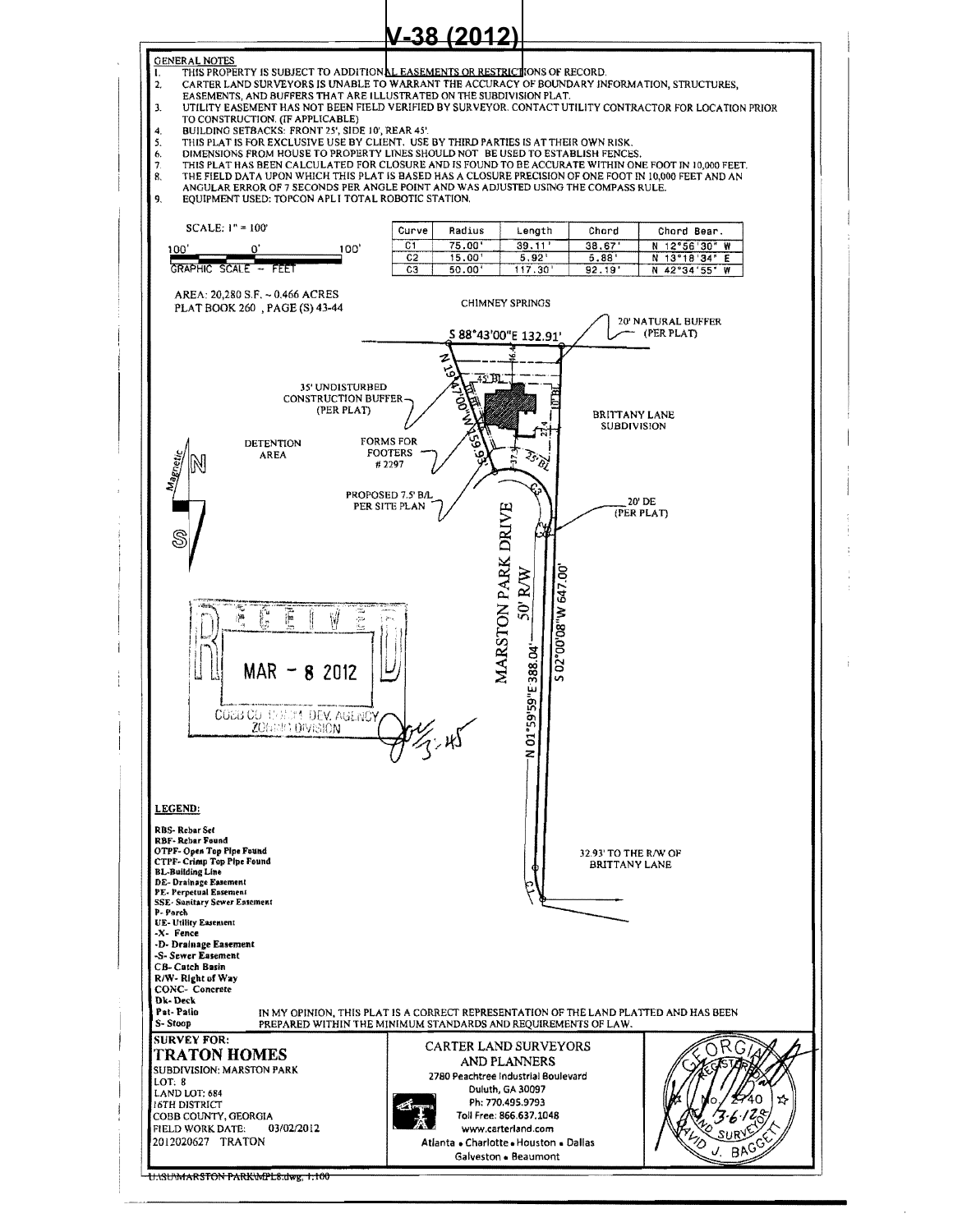

UNSUMARSTON PARKWPLS.dwg, 1:100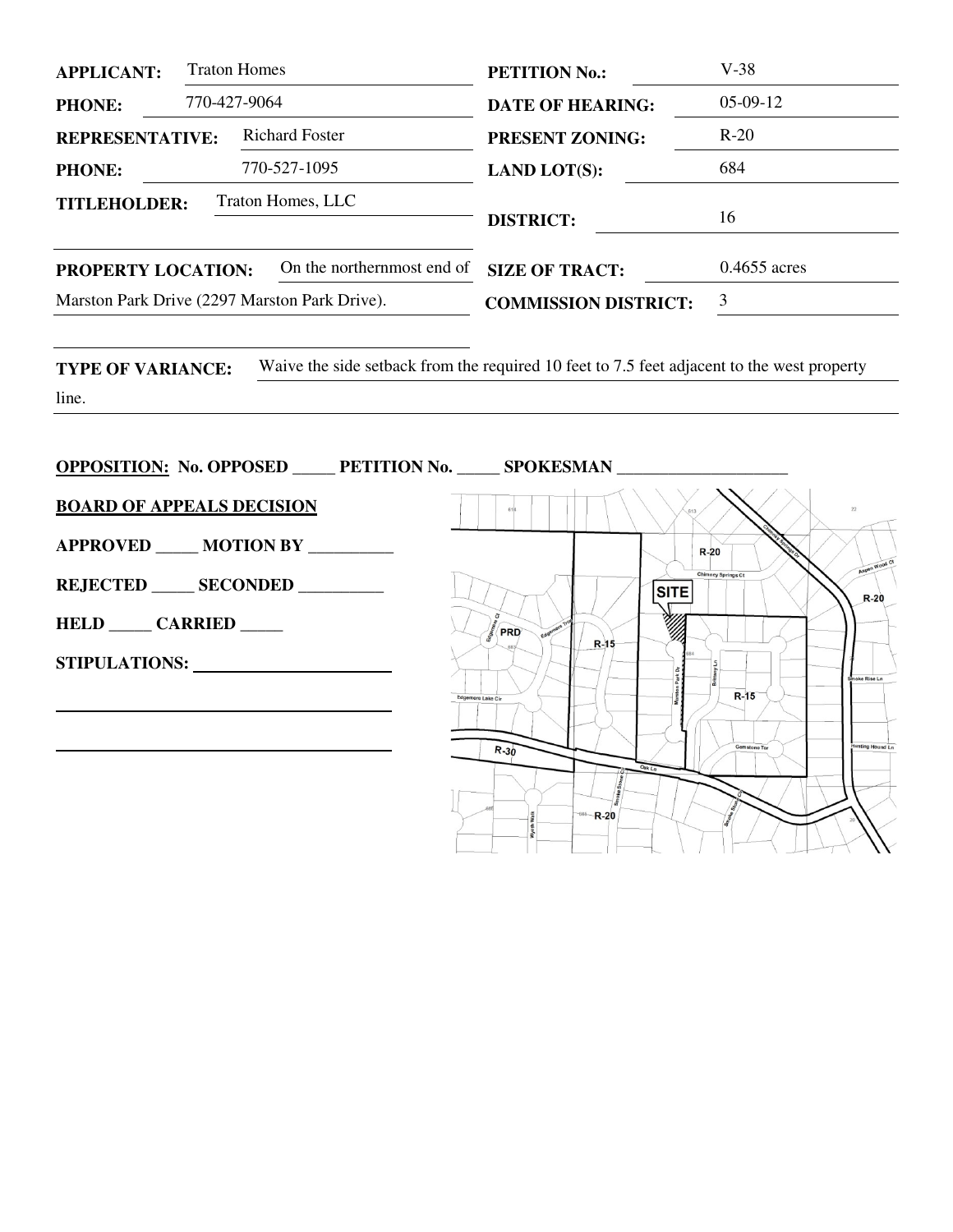| <b>Traton Homes</b><br><b>APPLICANT:</b>                                                                                                                                                                                                                                                                                                                                                                                                                   | <b>PETITION No.:</b>                          | $V-38$                                                         |
|------------------------------------------------------------------------------------------------------------------------------------------------------------------------------------------------------------------------------------------------------------------------------------------------------------------------------------------------------------------------------------------------------------------------------------------------------------|-----------------------------------------------|----------------------------------------------------------------|
| 770-427-9064<br><b>PHONE:</b>                                                                                                                                                                                                                                                                                                                                                                                                                              | <b>DATE OF HEARING:</b>                       | $05-09-12$                                                     |
| <b>REPRESENTATIVE:</b> Richard Foster                                                                                                                                                                                                                                                                                                                                                                                                                      | <b>PRESENT ZONING:</b>                        | $R-20$                                                         |
| 770-527-1095<br><b>PHONE:</b>                                                                                                                                                                                                                                                                                                                                                                                                                              | <b>LAND LOT(S):</b>                           | 684                                                            |
| Traton Homes, LLC<br><b>TITLEHOLDER:</b>                                                                                                                                                                                                                                                                                                                                                                                                                   | <b>DISTRICT:</b>                              | 16                                                             |
| On the northernmost end of<br>PROPERTY LOCATION:                                                                                                                                                                                                                                                                                                                                                                                                           | <b>SIZE OF TRACT:</b>                         | 0.4655 acres                                                   |
| Marston Park Drive (2297 Marston Park Drive).                                                                                                                                                                                                                                                                                                                                                                                                              | <b>COMMISSION DISTRICT:</b>                   | $\mathfrak{Z}$                                                 |
| line.<br><b>OPPOSITION:</b> No. OPPOSED _____ PETITION No. _____ SPOKESMAN _____________<br><b>BOARD OF APPEALS DECISION</b><br><b>APPROVED ____ MOTION BY ________</b><br>REJECTED SECONDED<br>HELD _____ CARRIED _____<br>STIPULATIONS: North Contract Contract Contract Contract Contract Contract Contract Contract Contract Contract Contract Contract Contract Contract Contract Contract Contract Contract Contract Contract Contract Contract Cont | <b>SITE</b><br>PRD<br>$R-15$<br>tere Lake Cir | $R-20$<br>Chimney Springs Ct<br>$R-20$<br>ke Rise Ln<br>$R-15$ |
|                                                                                                                                                                                                                                                                                                                                                                                                                                                            | $R - 30$<br>$-686 - R - 20$                   | Gemstone Ter<br>ting Hound Ln                                  |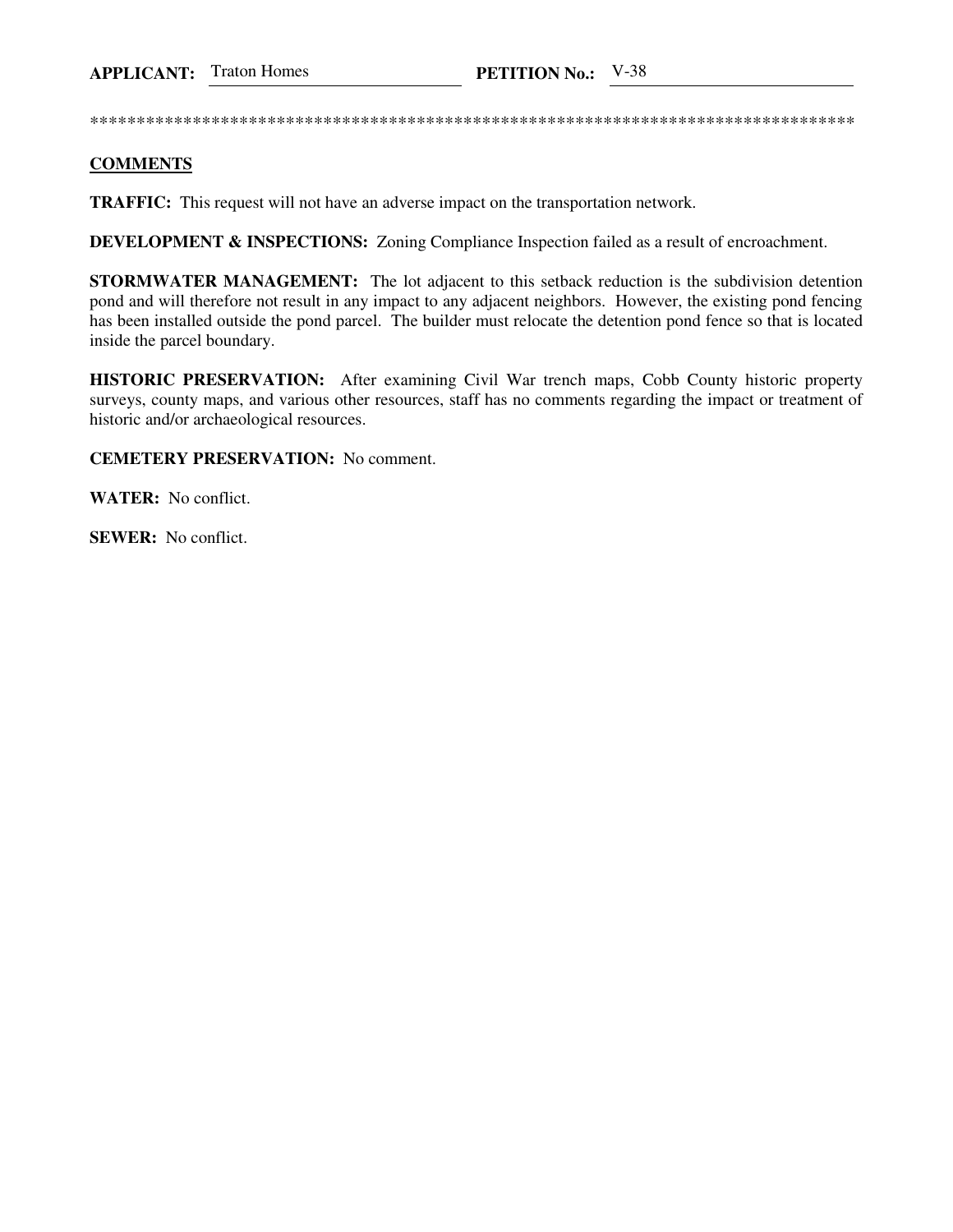\*\*\*\*\*\*\*\*\*\*\*\*\*\*\*\*\*\*\*\*\*\*\*\*\*\*\*\*\*\*\*\*\*\*\*\*\*\*\*\*\*\*\*\*\*\*\*\*\*\*\*\*\*\*\*\*\*\*\*\*\*\*\*\*\*\*\*\*\*\*\*\*\*\*\*\*\*\*\*\*\*\*

## **COMMENTS**

**TRAFFIC:** This request will not have an adverse impact on the transportation network.

**DEVELOPMENT & INSPECTIONS:** Zoning Compliance Inspection failed as a result of encroachment.

**STORMWATER MANAGEMENT:** The lot adjacent to this setback reduction is the subdivision detention pond and will therefore not result in any impact to any adjacent neighbors. However, the existing pond fencing has been installed outside the pond parcel. The builder must relocate the detention pond fence so that is located inside the parcel boundary.

**HISTORIC PRESERVATION:** After examining Civil War trench maps, Cobb County historic property surveys, county maps, and various other resources, staff has no comments regarding the impact or treatment of historic and/or archaeological resources.

**CEMETERY PRESERVATION:** No comment.

**WATER:** No conflict.

**SEWER:** No conflict.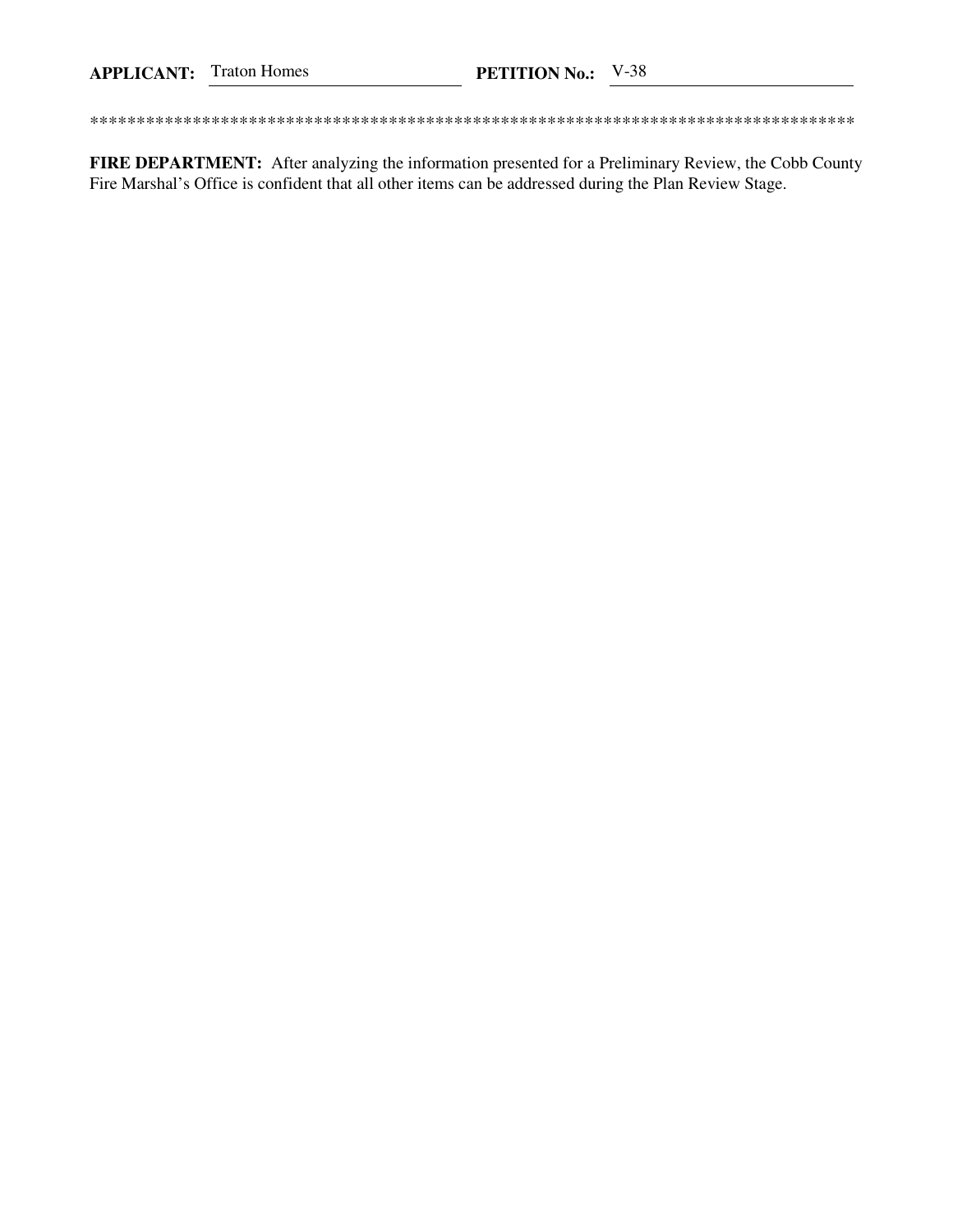FIRE DEPARTMENT: After analyzing the information presented for a Preliminary Review, the Cobb County Fire Marshal's Office is confident that all other items can be addressed during the Plan Review Stage.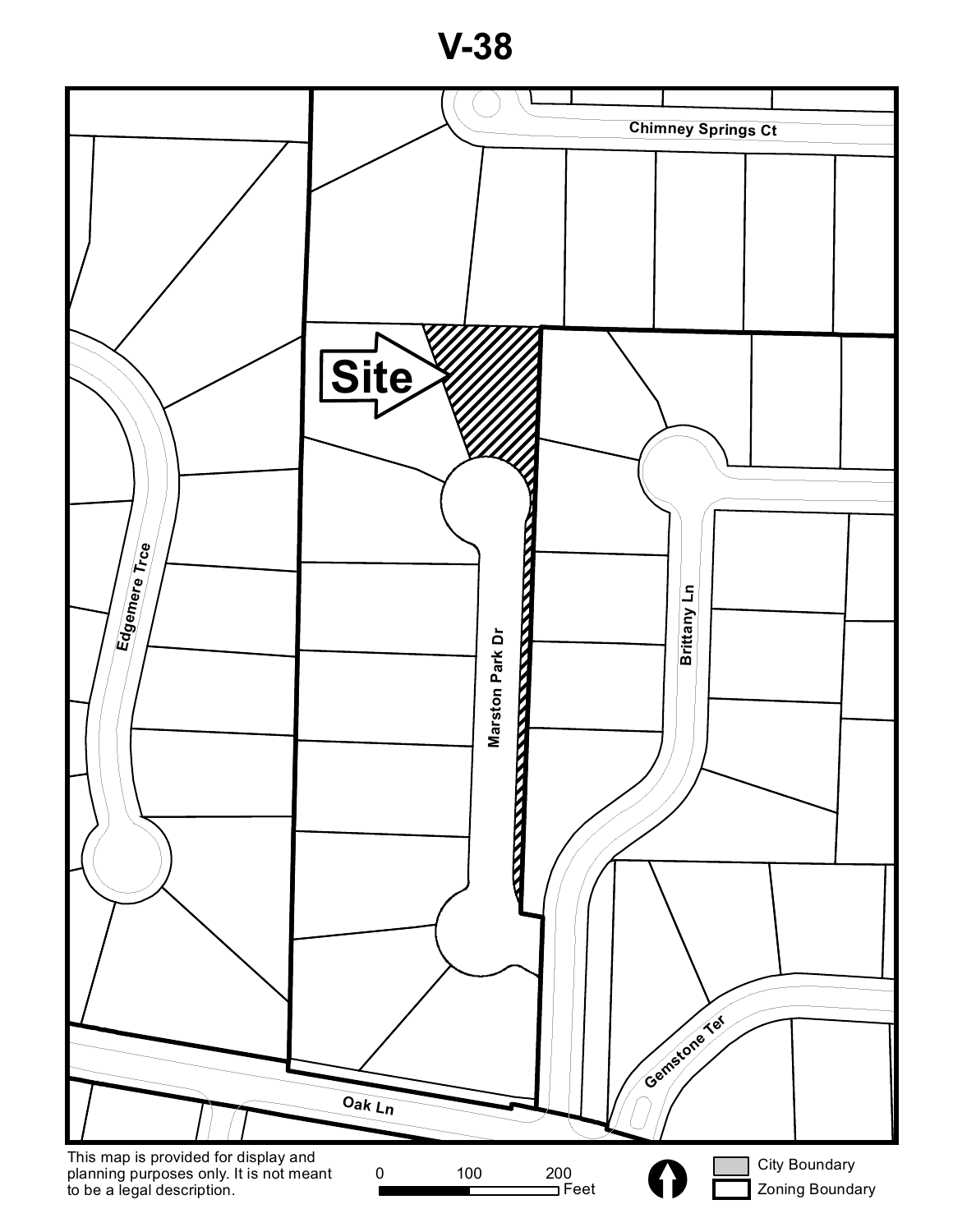**V-38**